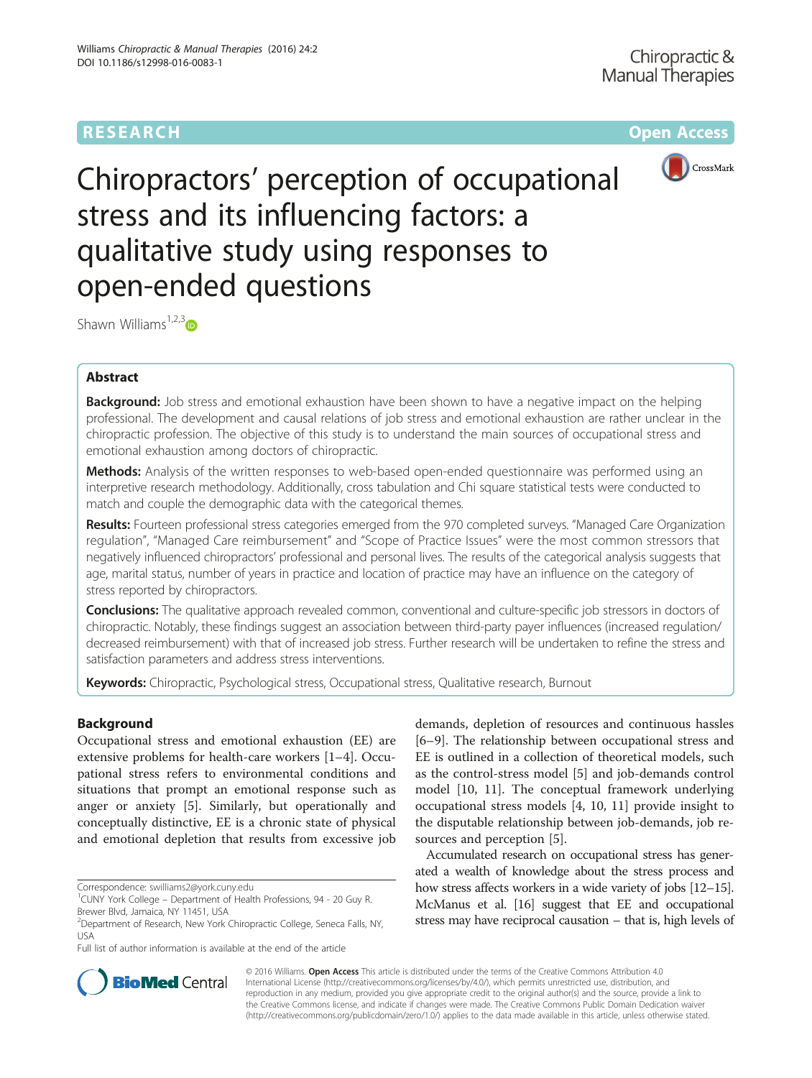# **RESEARCH CHE Open Access**



Chiropractors' perception of occupational stress and its influencing factors: a qualitative study using responses to open-ended questions

Shawn Williams<sup>1,2,3</sup>

## Abstract

Background: Job stress and emotional exhaustion have been shown to have a negative impact on the helping professional. The development and causal relations of job stress and emotional exhaustion are rather unclear in the chiropractic profession. The objective of this study is to understand the main sources of occupational stress and emotional exhaustion among doctors of chiropractic.

Methods: Analysis of the written responses to web-based open-ended questionnaire was performed using an interpretive research methodology. Additionally, cross tabulation and Chi square statistical tests were conducted to match and couple the demographic data with the categorical themes.

Results: Fourteen professional stress categories emerged from the 970 completed surveys. "Managed Care Organization regulation", "Managed Care reimbursement" and "Scope of Practice Issues" were the most common stressors that negatively influenced chiropractors' professional and personal lives. The results of the categorical analysis suggests that age, marital status, number of years in practice and location of practice may have an influence on the category of stress reported by chiropractors.

**Conclusions:** The qualitative approach revealed common, conventional and culture-specific job stressors in doctors of chiropractic. Notably, these findings suggest an association between third-party payer influences (increased regulation/ decreased reimbursement) with that of increased job stress. Further research will be undertaken to refine the stress and satisfaction parameters and address stress interventions.

Keywords: Chiropractic, Psychological stress, Occupational stress, Qualitative research, Burnout

## Background

Occupational stress and emotional exhaustion (EE) are extensive problems for health-care workers [[1](#page-5-0)–[4\]](#page-5-0). Occupational stress refers to environmental conditions and situations that prompt an emotional response such as anger or anxiety [[5\]](#page-5-0). Similarly, but operationally and conceptually distinctive, EE is a chronic state of physical and emotional depletion that results from excessive job

Correspondence: [swilliams2@york.cuny.edu](mailto:swilliams2@york.cuny.edu) <sup>1</sup>

Full list of author information is available at the end of the article

demands, depletion of resources and continuous hassles [[6](#page-5-0)–[9\]](#page-5-0). The relationship between occupational stress and EE is outlined in a collection of theoretical models, such as the control-stress model [\[5](#page-5-0)] and job-demands control model [\[10](#page-5-0), [11](#page-6-0)]. The conceptual framework underlying occupational stress models [\[4](#page-5-0), [10,](#page-5-0) [11](#page-6-0)] provide insight to the disputable relationship between job-demands, job resources and perception [[5\]](#page-5-0).

Accumulated research on occupational stress has generated a wealth of knowledge about the stress process and how stress affects workers in a wide variety of jobs [\[12](#page-6-0)–[15](#page-6-0)]. McManus et al. [\[16](#page-6-0)] suggest that EE and occupational stress may have reciprocal causation – that is, high levels of



© 2016 Williams. Open Access This article is distributed under the terms of the Creative Commons Attribution 4.0 International License [\(http://creativecommons.org/licenses/by/4.0/](http://creativecommons.org/licenses/by/4.0/)), which permits unrestricted use, distribution, and reproduction in any medium, provided you give appropriate credit to the original author(s) and the source, provide a link to the Creative Commons license, and indicate if changes were made. The Creative Commons Public Domain Dedication waiver [\(http://creativecommons.org/publicdomain/zero/1.0/](http://creativecommons.org/publicdomain/zero/1.0/)) applies to the data made available in this article, unless otherwise stated.

<sup>&</sup>lt;sup>1</sup> CUNY York College – Department of Health Professions, 94 - 20 Guy R. Brewer Blvd, Jamaica, NY 11451, USA

<sup>&</sup>lt;sup>2</sup>Department of Research, New York Chiropractic College, Seneca Falls, NY, USA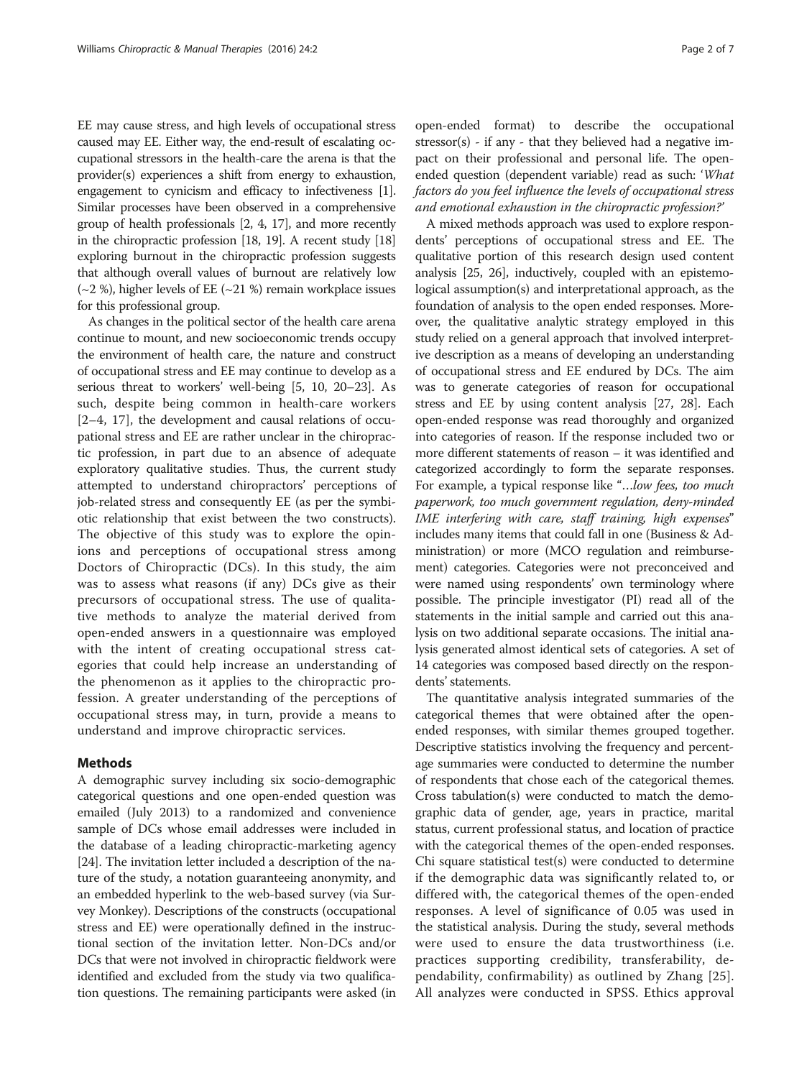EE may cause stress, and high levels of occupational stress caused may EE. Either way, the end-result of escalating occupational stressors in the health-care the arena is that the provider(s) experiences a shift from energy to exhaustion, engagement to cynicism and efficacy to infectiveness [[1](#page-5-0)]. Similar processes have been observed in a comprehensive group of health professionals [[2, 4,](#page-5-0) [17\]](#page-6-0), and more recently in the chiropractic profession [\[18](#page-6-0), [19](#page-6-0)]. A recent study [\[18](#page-6-0)] exploring burnout in the chiropractic profession suggests that although overall values of burnout are relatively low ( $\sim$ 2 %), higher levels of EE ( $\sim$ 21 %) remain workplace issues for this professional group.

As changes in the political sector of the health care arena continue to mount, and new socioeconomic trends occupy the environment of health care, the nature and construct of occupational stress and EE may continue to develop as a serious threat to workers' well-being [[5, 10,](#page-5-0) [20](#page-6-0)–[23\]](#page-6-0). As such, despite being common in health-care workers [[2](#page-5-0)–[4](#page-5-0), [17](#page-6-0)], the development and causal relations of occupational stress and EE are rather unclear in the chiropractic profession, in part due to an absence of adequate exploratory qualitative studies. Thus, the current study attempted to understand chiropractors' perceptions of job-related stress and consequently EE (as per the symbiotic relationship that exist between the two constructs). The objective of this study was to explore the opinions and perceptions of occupational stress among Doctors of Chiropractic (DCs). In this study, the aim was to assess what reasons (if any) DCs give as their precursors of occupational stress. The use of qualitative methods to analyze the material derived from open-ended answers in a questionnaire was employed with the intent of creating occupational stress categories that could help increase an understanding of the phenomenon as it applies to the chiropractic profession. A greater understanding of the perceptions of occupational stress may, in turn, provide a means to understand and improve chiropractic services.

#### Methods

A demographic survey including six socio-demographic categorical questions and one open-ended question was emailed (July 2013) to a randomized and convenience sample of DCs whose email addresses were included in the database of a leading chiropractic-marketing agency [[24](#page-6-0)]. The invitation letter included a description of the nature of the study, a notation guaranteeing anonymity, and an embedded hyperlink to the web-based survey (via Survey Monkey). Descriptions of the constructs (occupational stress and EE) were operationally defined in the instructional section of the invitation letter. Non-DCs and/or DCs that were not involved in chiropractic fieldwork were identified and excluded from the study via two qualification questions. The remaining participants were asked (in

open-ended format) to describe the occupational stressor(s) - if any - that they believed had a negative impact on their professional and personal life. The openended question (dependent variable) read as such: 'What factors do you feel influence the levels of occupational stress and emotional exhaustion in the chiropractic profession?'

A mixed methods approach was used to explore respondents' perceptions of occupational stress and EE. The qualitative portion of this research design used content analysis [[25](#page-6-0), [26](#page-6-0)], inductively, coupled with an epistemological assumption(s) and interpretational approach, as the foundation of analysis to the open ended responses. Moreover, the qualitative analytic strategy employed in this study relied on a general approach that involved interpretive description as a means of developing an understanding of occupational stress and EE endured by DCs. The aim was to generate categories of reason for occupational stress and EE by using content analysis [[27](#page-6-0), [28](#page-6-0)]. Each open-ended response was read thoroughly and organized into categories of reason. If the response included two or more different statements of reason – it was identified and categorized accordingly to form the separate responses. For example, a typical response like "…low fees, too much paperwork, too much government regulation, deny-minded IME interfering with care, staff training, high expenses" includes many items that could fall in one (Business & Administration) or more (MCO regulation and reimbursement) categories. Categories were not preconceived and were named using respondents' own terminology where possible. The principle investigator (PI) read all of the statements in the initial sample and carried out this analysis on two additional separate occasions. The initial analysis generated almost identical sets of categories. A set of 14 categories was composed based directly on the respondents' statements.

The quantitative analysis integrated summaries of the categorical themes that were obtained after the openended responses, with similar themes grouped together. Descriptive statistics involving the frequency and percentage summaries were conducted to determine the number of respondents that chose each of the categorical themes. Cross tabulation(s) were conducted to match the demographic data of gender, age, years in practice, marital status, current professional status, and location of practice with the categorical themes of the open-ended responses. Chi square statistical test(s) were conducted to determine if the demographic data was significantly related to, or differed with, the categorical themes of the open-ended responses. A level of significance of 0.05 was used in the statistical analysis. During the study, several methods were used to ensure the data trustworthiness (i.e. practices supporting credibility, transferability, dependability, confirmability) as outlined by Zhang [[25](#page-6-0)]. All analyzes were conducted in SPSS. Ethics approval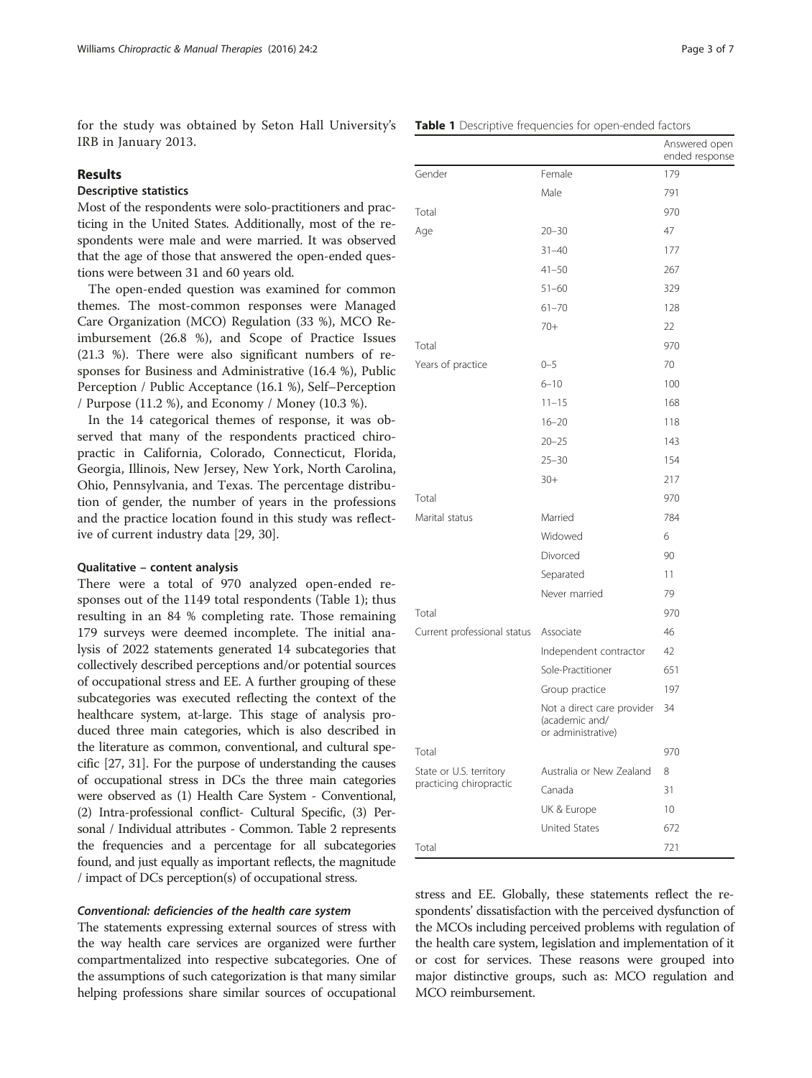for the study was obtained by Seton Hall University's IRB in January 2013.

#### Results

## Descriptive statistics

Most of the respondents were solo-practitioners and practicing in the United States. Additionally, most of the respondents were male and were married. It was observed that the age of those that answered the open-ended questions were between 31 and 60 years old.

The open-ended question was examined for common themes. The most-common responses were Managed Care Organization (MCO) Regulation (33 %), MCO Reimbursement (26.8 %), and Scope of Practice Issues (21.3 %). There were also significant numbers of responses for Business and Administrative (16.4 %), Public Perception / Public Acceptance (16.1 %), Self–Perception / Purpose (11.2 %), and Economy / Money (10.3 %).

In the 14 categorical themes of response, it was observed that many of the respondents practiced chiropractic in California, Colorado, Connecticut, Florida, Georgia, Illinois, New Jersey, New York, North Carolina, Ohio, Pennsylvania, and Texas. The percentage distribution of gender, the number of years in the professions and the practice location found in this study was reflective of current industry data [[29, 30\]](#page-6-0).

#### Qualitative – content analysis

There were a total of 970 analyzed open-ended responses out of the 1149 total respondents (Table 1); thus resulting in an 84 % completing rate. Those remaining 179 surveys were deemed incomplete. The initial analysis of 2022 statements generated 14 subcategories that collectively described perceptions and/or potential sources of occupational stress and EE. A further grouping of these subcategories was executed reflecting the context of the healthcare system, at-large. This stage of analysis produced three main categories, which is also described in the literature as common, conventional, and cultural specific [\[27](#page-6-0), [31\]](#page-6-0). For the purpose of understanding the causes of occupational stress in DCs the three main categories were observed as (1) Health Care System - Conventional, (2) Intra-professional conflict- Cultural Specific, (3) Personal / Individual attributes - Common. Table [2](#page-3-0) represents the frequencies and a percentage for all subcategories found, and just equally as important reflects, the magnitude / impact of DCs perception(s) of occupational stress.

#### Conventional: deficiencies of the health care system

The statements expressing external sources of stress with the way health care services are organized were further compartmentalized into respective subcategories. One of the assumptions of such categorization is that many similar helping professions share similar sources of occupational

|                                                    |                                                                    | Answered open<br>ended response |
|----------------------------------------------------|--------------------------------------------------------------------|---------------------------------|
| Gender                                             | Female                                                             | 179                             |
|                                                    | Male                                                               | 791                             |
| Total                                              |                                                                    | 970                             |
| Age                                                | $20 - 30$                                                          | 47                              |
|                                                    | $31 - 40$                                                          | 177                             |
|                                                    | $41 - 50$                                                          | 267                             |
|                                                    | $51 - 60$                                                          | 329                             |
|                                                    | $61 - 70$                                                          | 128                             |
|                                                    | $70+$                                                              | 22                              |
| Total                                              |                                                                    | 970                             |
| Years of practice                                  | $0 - 5$                                                            | 70                              |
|                                                    | $6 - 10$                                                           | 100                             |
|                                                    | $11 - 15$                                                          | 168                             |
|                                                    | $16 - 20$                                                          | 118                             |
|                                                    | $20 - 25$                                                          | 143                             |
|                                                    | $25 - 30$                                                          | 154                             |
|                                                    | $30+$                                                              | 217                             |
| Total                                              |                                                                    | 970                             |
| Marital status                                     | Married                                                            | 784                             |
|                                                    | Widowed                                                            | 6                               |
|                                                    | Divorced                                                           | 90                              |
|                                                    | Separated                                                          | 11                              |
|                                                    | Never married                                                      | 79                              |
| Total                                              |                                                                    | 970                             |
| Current professional status                        | Associate                                                          | 46                              |
|                                                    | Independent contractor                                             | 42                              |
|                                                    | Sole-Practitioner                                                  | 651                             |
|                                                    | Group practice                                                     | 197                             |
|                                                    | Not a direct care provider<br>(academic and/<br>or administrative) | 34                              |
| Total                                              |                                                                    | 970                             |
| State or U.S. territory<br>practicing chiropractic | Australia or New Zealand                                           | 8                               |
|                                                    | Canada                                                             | 31                              |
|                                                    | UK & Europe                                                        | 10                              |
|                                                    | <b>United States</b>                                               | 672                             |
| Total                                              |                                                                    | 721                             |

stress and EE. Globally, these statements reflect the respondents' dissatisfaction with the perceived dysfunction of the MCOs including perceived problems with regulation of the health care system, legislation and implementation of it or cost for services. These reasons were grouped into major distinctive groups, such as: MCO regulation and MCO reimbursement.

#### Table 1 Descriptive frequencies for open-ended factors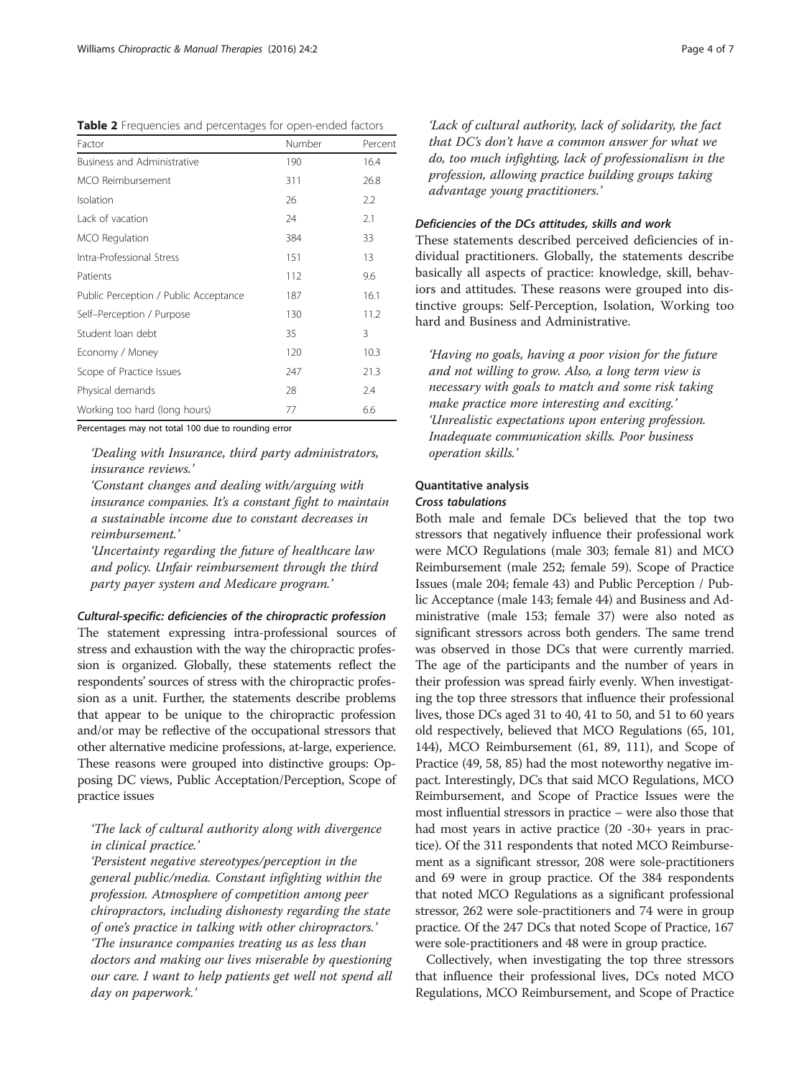<span id="page-3-0"></span>Table 2 Frequencies and percentages for open-ended factors

| Factor                                | Number | Percent |
|---------------------------------------|--------|---------|
| Business and Administrative           | 190    | 16.4    |
| MCO Reimbursement                     | 311    | 26.8    |
| Isolation                             | 26     | 2.2     |
| Lack of vacation                      | 24     | 2.1     |
| <b>MCO</b> Regulation                 | 384    | 33      |
| Intra-Professional Stress             | 151    | 13      |
| Patients                              | 112    | 9.6     |
| Public Perception / Public Acceptance | 187    | 16.1    |
| Self-Perception / Purpose             | 130    | 11.2    |
| Student Ioan debt                     | 35     | 3       |
| Economy / Money                       | 120    | 10.3    |
| Scope of Practice Issues              | 247    | 21.3    |
| Physical demands                      | 28     | 2.4     |
| Working too hard (long hours)         | 77     | 6.6     |

Percentages may not total 100 due to rounding error

'Dealing with Insurance, third party administrators, insurance reviews.'

'Constant changes and dealing with/arguing with insurance companies. It's a constant fight to maintain a sustainable income due to constant decreases in reimbursement.'

'Uncertainty regarding the future of healthcare law and policy. Unfair reimbursement through the third party payer system and Medicare program.'

#### Cultural-specific: deficiencies of the chiropractic profession

The statement expressing intra-professional sources of stress and exhaustion with the way the chiropractic profession is organized. Globally, these statements reflect the respondents' sources of stress with the chiropractic profession as a unit. Further, the statements describe problems that appear to be unique to the chiropractic profession and/or may be reflective of the occupational stressors that other alternative medicine professions, at-large, experience. These reasons were grouped into distinctive groups: Opposing DC views, Public Acceptation/Perception, Scope of practice issues

## 'The lack of cultural authority along with divergence in clinical practice.'

'Persistent negative stereotypes/perception in the general public/media. Constant infighting within the profession. Atmosphere of competition among peer chiropractors, including dishonesty regarding the state of one's practice in talking with other chiropractors.' 'The insurance companies treating us as less than doctors and making our lives miserable by questioning our care. I want to help patients get well not spend all day on paperwork.'

'Lack of cultural authority, lack of solidarity, the fact that DC's don't have a common answer for what we do, too much infighting, lack of professionalism in the profession, allowing practice building groups taking advantage young practitioners.'

#### Deficiencies of the DCs attitudes, skills and work

These statements described perceived deficiencies of individual practitioners. Globally, the statements describe basically all aspects of practice: knowledge, skill, behaviors and attitudes. These reasons were grouped into distinctive groups: Self-Perception, Isolation, Working too hard and Business and Administrative.

'Having no goals, having a poor vision for the future and not willing to grow. Also, a long term view is necessary with goals to match and some risk taking make practice more interesting and exciting.' 'Unrealistic expectations upon entering profession. Inadequate communication skills. Poor business operation skills.'

# Quantitative analysis

### Cross tabulations

Both male and female DCs believed that the top two stressors that negatively influence their professional work were MCO Regulations (male 303; female 81) and MCO Reimbursement (male 252; female 59). Scope of Practice Issues (male 204; female 43) and Public Perception / Public Acceptance (male 143; female 44) and Business and Administrative (male 153; female 37) were also noted as significant stressors across both genders. The same trend was observed in those DCs that were currently married. The age of the participants and the number of years in their profession was spread fairly evenly. When investigating the top three stressors that influence their professional lives, those DCs aged 31 to 40, 41 to 50, and 51 to 60 years old respectively, believed that MCO Regulations (65, 101, 144), MCO Reimbursement (61, 89, 111), and Scope of Practice (49, 58, 85) had the most noteworthy negative impact. Interestingly, DCs that said MCO Regulations, MCO Reimbursement, and Scope of Practice Issues were the most influential stressors in practice – were also those that had most years in active practice (20 -30+ years in practice). Of the 311 respondents that noted MCO Reimbursement as a significant stressor, 208 were sole-practitioners and 69 were in group practice. Of the 384 respondents that noted MCO Regulations as a significant professional stressor, 262 were sole-practitioners and 74 were in group practice. Of the 247 DCs that noted Scope of Practice, 167 were sole-practitioners and 48 were in group practice.

Collectively, when investigating the top three stressors that influence their professional lives, DCs noted MCO Regulations, MCO Reimbursement, and Scope of Practice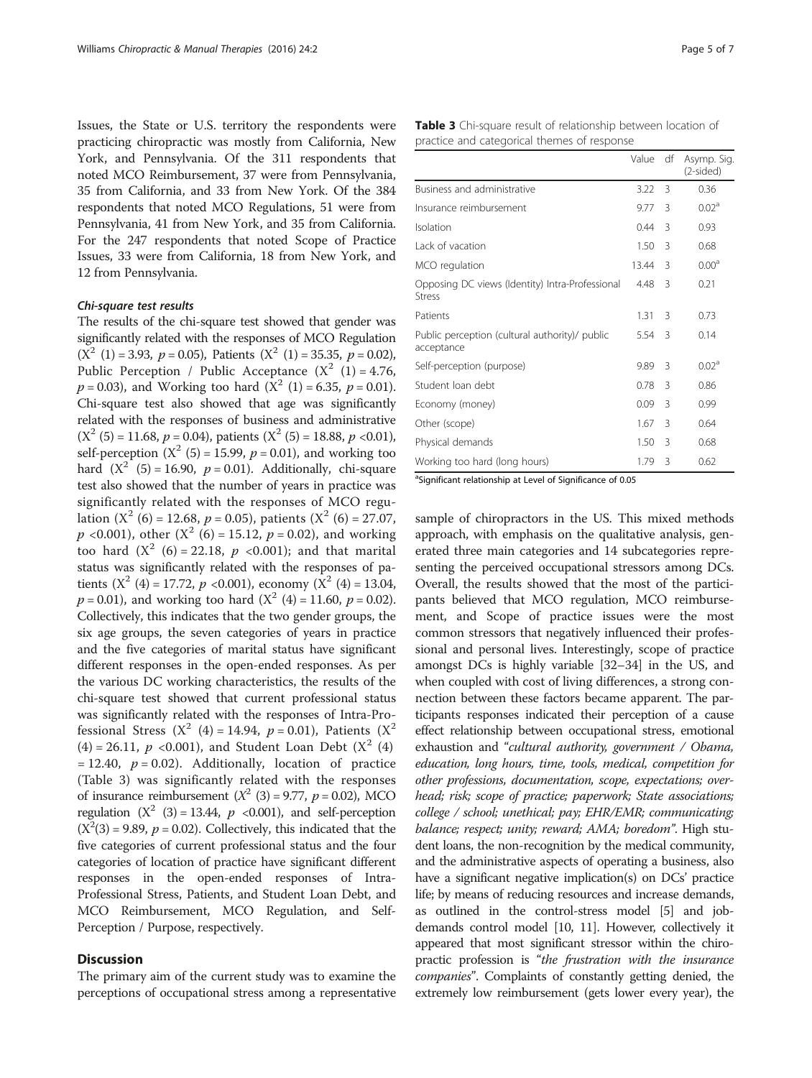Issues, the State or U.S. territory the respondents were practicing chiropractic was mostly from California, New York, and Pennsylvania. Of the 311 respondents that noted MCO Reimbursement, 37 were from Pennsylvania, 35 from California, and 33 from New York. Of the 384 respondents that noted MCO Regulations, 51 were from Pennsylvania, 41 from New York, and 35 from California. For the 247 respondents that noted Scope of Practice Issues, 33 were from California, 18 from New York, and 12 from Pennsylvania.

#### Chi-square test results

The results of the chi-square test showed that gender was significantly related with the responses of MCO Regulation  $(X^2 (1) = 3.93, p = 0.05)$ , Patients  $(X^2 (1) = 35.35, p = 0.02)$ , Public Perception / Public Acceptance  $(X^2 (1) = 4.76,$  $p = 0.03$ ), and Working too hard  $(X^2 (1) = 6.35, p = 0.01)$ . Chi-square test also showed that age was significantly related with the responses of business and administrative  $(X^2 (5) = 11.68, p = 0.04)$ , patients  $(X^2 (5) = 18.88, p < 0.01)$ , self-perception  $(X^2 (5) = 15.99, p = 0.01)$ , and working too hard  $(X^2 \t(5) = 16.90, p = 0.01)$ . Additionally, chi-square test also showed that the number of years in practice was significantly related with the responses of MCO regulation  $(X^2 (6) = 12.68, p = 0.05)$ , patients  $(X^2 (6) = 27.07,$  $p \le 0.001$ , other  $(X^2 (6) = 15.12, p = 0.02)$ , and working too hard  $(X^2 (6) = 22.18, p < 0.001)$ ; and that marital status was significantly related with the responses of patients ( $X^2$  (4) = 17.72,  $p \le 0.001$ ), economy ( $X^2$  (4) = 13.04,  $p = 0.01$ ), and working too hard  $(X^2 (4) = 11.60, p = 0.02)$ . Collectively, this indicates that the two gender groups, the six age groups, the seven categories of years in practice and the five categories of marital status have significant different responses in the open-ended responses. As per the various DC working characteristics, the results of the chi-square test showed that current professional status was significantly related with the responses of Intra-Professional Stress ( $X^2$  (4) = 14.94,  $p = 0.01$ ), Patients ( $X^2$  $(4) = 26.11$ ,  $p \le 0.001$ , and Student Loan Debt  $(X^2 \le 4)$  $= 12.40, p = 0.02$ . Additionally, location of practice (Table 3) was significantly related with the responses of insurance reimbursement  $(X^2 (3) = 9.77, p = 0.02)$ , MCO regulation  $(X^2 \t(3) = 13.44, p \lt 0.001)$ , and self-perception  $(X^2(3) = 9.89, p = 0.02)$ . Collectively, this indicated that the five categories of current professional status and the four categories of location of practice have significant different responses in the open-ended responses of Intra-Professional Stress, Patients, and Student Loan Debt, and MCO Reimbursement, MCO Regulation, and Self-Perception / Purpose, respectively.

#### **Discussion**

The primary aim of the current study was to examine the perceptions of occupational stress among a representative

Table 3 Chi-square result of relationship between location of practice and categorical themes of response

|                                                              | Value | df            | Asymp. Sig.<br>(2-sided) |
|--------------------------------------------------------------|-------|---------------|--------------------------|
| Business and administrative                                  | 3.22  | 3             | 0.36                     |
| Insurance reimbursement                                      | 9.77  | 3             | 0.02 <sup>a</sup>        |
| Isolation                                                    | 0.44  | 3             | 0.93                     |
| Lack of vacation                                             | 1.50  | 3             | 0.68                     |
| MCO regulation                                               | 13.44 | $\mathcal{R}$ | 0.00 <sup>a</sup>        |
| Opposing DC views (Identity) Intra-Professional<br>Stress    | 4.48  | 3             | 0.21                     |
| Patients                                                     | 1.31  | 3             | 0.73                     |
| Public perception (cultural authority)/ public<br>acceptance | 5.54  | 3             | 0.14                     |
| Self-perception (purpose)                                    | 9.89  | 3             | 0.02 <sup>a</sup>        |
| Student Ioan debt                                            | 0.78  | 3             | 0.86                     |
| Economy (money)                                              | 0.09  | 3             | 0.99                     |
| Other (scope)                                                | 1.67  | 3             | 0.64                     |
| Physical demands                                             | 1.50  | 3             | 0.68                     |
| Working too hard (long hours)                                | 1.79  | 3             | 0.62                     |

<sup>a</sup>Significant relationship at Level of Significance of 0.05

sample of chiropractors in the US. This mixed methods approach, with emphasis on the qualitative analysis, generated three main categories and 14 subcategories representing the perceived occupational stressors among DCs. Overall, the results showed that the most of the participants believed that MCO regulation, MCO reimbursement, and Scope of practice issues were the most common stressors that negatively influenced their professional and personal lives. Interestingly, scope of practice amongst DCs is highly variable [\[32](#page-6-0)–[34](#page-6-0)] in the US, and when coupled with cost of living differences, a strong connection between these factors became apparent. The participants responses indicated their perception of a cause effect relationship between occupational stress, emotional exhaustion and "cultural authority, government / Obama, education, long hours, time, tools, medical, competition for other professions, documentation, scope, expectations; overhead; risk; scope of practice; paperwork; State associations; college / school; unethical; pay; EHR/EMR; communicating; balance; respect; unity; reward; AMA; boredom". High student loans, the non-recognition by the medical community, and the administrative aspects of operating a business, also have a significant negative implication(s) on DCs' practice life; by means of reducing resources and increase demands, as outlined in the control-stress model [\[5\]](#page-5-0) and jobdemands control model [\[10,](#page-5-0) [11\]](#page-6-0). However, collectively it appeared that most significant stressor within the chiropractic profession is "the frustration with the insurance companies". Complaints of constantly getting denied, the extremely low reimbursement (gets lower every year), the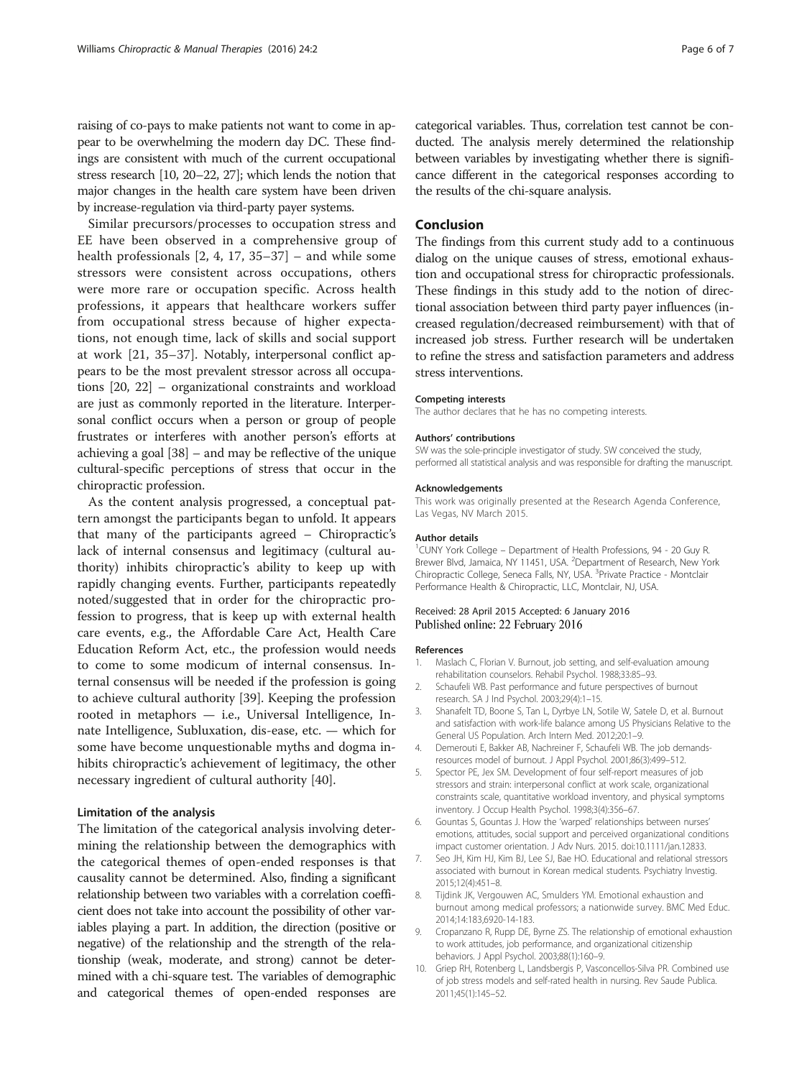<span id="page-5-0"></span>raising of co-pays to make patients not want to come in appear to be overwhelming the modern day DC. These findings are consistent with much of the current occupational stress research [10, [20](#page-6-0)–[22, 27](#page-6-0)]; which lends the notion that major changes in the health care system have been driven by increase-regulation via third-party payer systems.

Similar precursors/processes to occupation stress and EE have been observed in a comprehensive group of health professionals [2, 4, [17](#page-6-0), [35](#page-6-0)–[37\]](#page-6-0) – and while some stressors were consistent across occupations, others were more rare or occupation specific. Across health professions, it appears that healthcare workers suffer from occupational stress because of higher expectations, not enough time, lack of skills and social support at work [\[21](#page-6-0), [35](#page-6-0)–[37\]](#page-6-0). Notably, interpersonal conflict appears to be the most prevalent stressor across all occupations [\[20](#page-6-0), [22\]](#page-6-0) – organizational constraints and workload are just as commonly reported in the literature. Interpersonal conflict occurs when a person or group of people frustrates or interferes with another person's efforts at achieving a goal [[38\]](#page-6-0) – and may be reflective of the unique cultural-specific perceptions of stress that occur in the chiropractic profession.

As the content analysis progressed, a conceptual pattern amongst the participants began to unfold. It appears that many of the participants agreed – Chiropractic's lack of internal consensus and legitimacy (cultural authority) inhibits chiropractic's ability to keep up with rapidly changing events. Further, participants repeatedly noted/suggested that in order for the chiropractic profession to progress, that is keep up with external health care events, e.g., the Affordable Care Act, Health Care Education Reform Act, etc., the profession would needs to come to some modicum of internal consensus. Internal consensus will be needed if the profession is going to achieve cultural authority [[39](#page-6-0)]. Keeping the profession rooted in metaphors — i.e., Universal Intelligence, Innate Intelligence, Subluxation, dis-ease, etc. — which for some have become unquestionable myths and dogma inhibits chiropractic's achievement of legitimacy, the other necessary ingredient of cultural authority [\[40](#page-6-0)].

#### Limitation of the analysis

The limitation of the categorical analysis involving determining the relationship between the demographics with the categorical themes of open-ended responses is that causality cannot be determined. Also, finding a significant relationship between two variables with a correlation coefficient does not take into account the possibility of other variables playing a part. In addition, the direction (positive or negative) of the relationship and the strength of the relationship (weak, moderate, and strong) cannot be determined with a chi-square test. The variables of demographic and categorical themes of open-ended responses are categorical variables. Thus, correlation test cannot be conducted. The analysis merely determined the relationship between variables by investigating whether there is significance different in the categorical responses according to the results of the chi-square analysis.

#### Conclusion

The findings from this current study add to a continuous dialog on the unique causes of stress, emotional exhaustion and occupational stress for chiropractic professionals. These findings in this study add to the notion of directional association between third party payer influences (increased regulation/decreased reimbursement) with that of increased job stress. Further research will be undertaken to refine the stress and satisfaction parameters and address stress interventions.

#### Competing interests

The author declares that he has no competing interests.

#### Authors' contributions

SW was the sole-principle investigator of study. SW conceived the study, performed all statistical analysis and was responsible for drafting the manuscript.

#### Acknowledgements

This work was originally presented at the Research Agenda Conference, Las Vegas, NV March 2015.

#### Author details

<sup>1</sup> CUNY York College – Department of Health Professions, 94 - 20 Guy R Brewer Blvd, Jamaica, NY 11451, USA. <sup>2</sup>Department of Research, New York Chiropractic College, Seneca Falls, NY, USA. <sup>3</sup>Private Practice - Montclair Performance Health & Chiropractic, LLC, Montclair, NJ, USA.

#### Received: 28 April 2015 Accepted: 6 January 2016 Published online: 22 February 2016

#### References

- 1. Maslach C, Florian V. Burnout, job setting, and self-evaluation amoung rehabilitation counselors. Rehabil Psychol. 1988;33:85–93.
- 2. Schaufeli WB. Past performance and future perspectives of burnout research. SA J Ind Psychol. 2003;29(4):1–15.
- 3. Shanafelt TD, Boone S, Tan L, Dyrbye LN, Sotile W, Satele D, et al. Burnout and satisfaction with work-life balance among US Physicians Relative to the General US Population. Arch Intern Med. 2012;20:1–9.
- 4. Demerouti E, Bakker AB, Nachreiner F, Schaufeli WB. The job demandsresources model of burnout. J Appl Psychol. 2001;86(3):499–512.
- 5. Spector PE, Jex SM. Development of four self-report measures of job stressors and strain: interpersonal conflict at work scale, organizational constraints scale, quantitative workload inventory, and physical symptoms inventory. J Occup Health Psychol. 1998;3(4):356–67.
- 6. Gountas S, Gountas J. How the 'warped' relationships between nurses' emotions, attitudes, social support and perceived organizational conditions impact customer orientation. J Adv Nurs. 2015. doi[:10.1111/jan.12833.](http://dx.doi.org/10.1111/jan.12833)
- 7. Seo JH, Kim HJ, Kim BJ, Lee SJ, Bae HO. Educational and relational stressors associated with burnout in Korean medical students. Psychiatry Investig. 2015;12(4):451–8.
- 8. Tijdink JK, Vergouwen AC, Smulders YM. Emotional exhaustion and burnout among medical professors; a nationwide survey. BMC Med Educ. 2014;14:183,6920-14-183.
- 9. Cropanzano R, Rupp DE, Byrne ZS. The relationship of emotional exhaustion to work attitudes, job performance, and organizational citizenship behaviors. J Appl Psychol. 2003;88(1):160–9.
- 10. Griep RH, Rotenberg L, Landsbergis P, Vasconcellos-Silva PR. Combined use of job stress models and self-rated health in nursing. Rev Saude Publica. 2011;45(1):145–52.